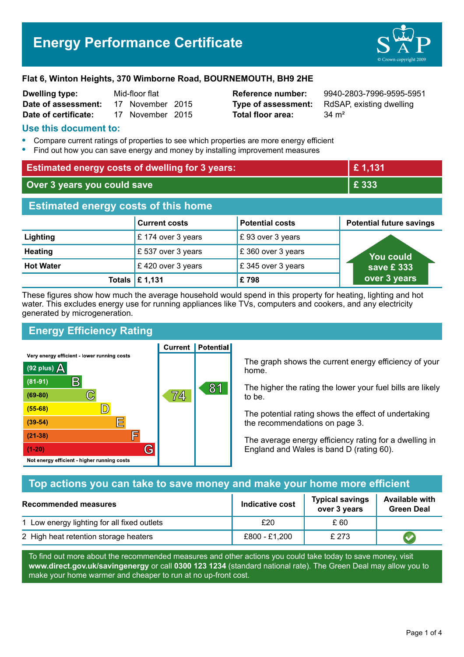# **Energy Performance Certificate**



#### **Flat 6, Winton Heights, 370 Wimborne Road, BOURNEMOUTH, BH9 2HE**

| <b>Dwelling type:</b> | Mid-floor flat |                  |  |
|-----------------------|----------------|------------------|--|
| Date of assessment:   |                | 17 November 2015 |  |
| Date of certificate:  |                | 17 November 2015 |  |

**Total floor area:** 34 m<sup>2</sup>

**Reference number:** 9940-2803-7996-9595-5951 **Type of assessment:** RdSAP, existing dwelling

### **Use this document to:**

- **•** Compare current ratings of properties to see which properties are more energy efficient
- **•** Find out how you can save energy and money by installing improvement measures

| <b>Estimated energy costs of dwelling for 3 years:</b> |                      | £1,131                 |                                 |
|--------------------------------------------------------|----------------------|------------------------|---------------------------------|
| Over 3 years you could save                            |                      | £ 333                  |                                 |
| <b>Estimated energy costs of this home</b>             |                      |                        |                                 |
|                                                        | <b>Current costs</b> | <b>Potential costs</b> | <b>Potential future savings</b> |
| Lighting                                               | £174 over 3 years    | £93 over 3 years       |                                 |
| <b>Heating</b>                                         | £537 over 3 years    | £360 over 3 years      | You could                       |
| <b>Hot Water</b>                                       | £420 over 3 years    | £345 over 3 years      | save £ $333$                    |
| Totals                                                 | £1,131               | £798                   | over 3 years                    |

These figures show how much the average household would spend in this property for heating, lighting and hot water. This excludes energy use for running appliances like TVs, computers and cookers, and any electricity generated by microgeneration.

**Current | Potential** 

# **Energy Efficiency Rating**

Very energy efficient - lower running costs



The graph shows the current energy efficiency of your home.

The higher the rating the lower your fuel bills are likely to be.

The potential rating shows the effect of undertaking the recommendations on page 3.

The average energy efficiency rating for a dwelling in England and Wales is band D (rating 60).

# **Top actions you can take to save money and make your home more efficient**

| Recommended measures                        | Indicative cost | <b>Typical savings</b><br>over 3 years | <b>Available with</b><br><b>Green Deal</b> |
|---------------------------------------------|-----------------|----------------------------------------|--------------------------------------------|
| 1 Low energy lighting for all fixed outlets | £20             | £ 60                                   |                                            |
| 2 High heat retention storage heaters       | £800 - £1,200   | £ 273                                  |                                            |

To find out more about the recommended measures and other actions you could take today to save money, visit **www.direct.gov.uk/savingenergy** or call **0300 123 1234** (standard national rate). The Green Deal may allow you to make your home warmer and cheaper to run at no up-front cost.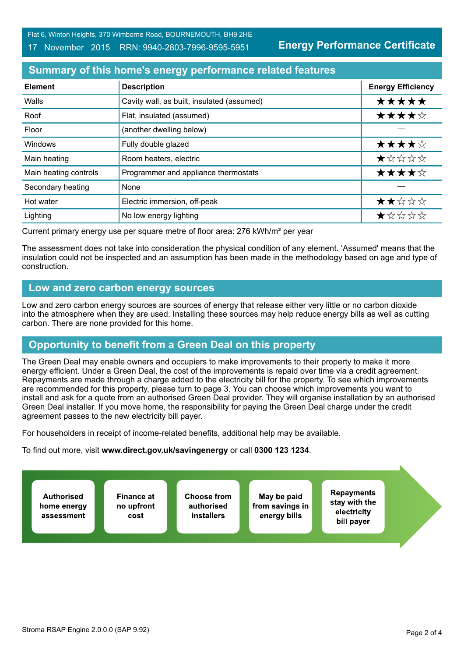Flat 6, Winton Heights, 370 Wimborne Road, BOURNEMOUTH, BH9 2HE

#### 17 November 2015 RRN: 9940-2803-7996-9595-5951

**Energy Performance Certificate**

# **Summary of this home's energy performance related features**

| <b>Element</b>        | <b>Description</b>                         | <b>Energy Efficiency</b> |
|-----------------------|--------------------------------------------|--------------------------|
| Walls                 | Cavity wall, as built, insulated (assumed) | *****                    |
| Roof                  | Flat, insulated (assumed)                  | ★★★★☆                    |
| Floor                 | (another dwelling below)                   |                          |
| Windows               | Fully double glazed                        | ★★★★☆                    |
| Main heating          | Room heaters, electric                     | *****                    |
| Main heating controls | Programmer and appliance thermostats       | ★★★★☆                    |
| Secondary heating     | None                                       |                          |
| Hot water             | Electric immersion, off-peak               | ★★☆☆☆                    |
| Lighting              | No low energy lighting                     | *****                    |

Current primary energy use per square metre of floor area: 276 kWh/m² per year

The assessment does not take into consideration the physical condition of any element. 'Assumed' means that the insulation could not be inspected and an assumption has been made in the methodology based on age and type of construction.

## **Low and zero carbon energy sources**

Low and zero carbon energy sources are sources of energy that release either very little or no carbon dioxide into the atmosphere when they are used. Installing these sources may help reduce energy bills as well as cutting carbon. There are none provided for this home.

# **Opportunity to benefit from a Green Deal on this property**

The Green Deal may enable owners and occupiers to make improvements to their property to make it more energy efficient. Under a Green Deal, the cost of the improvements is repaid over time via a credit agreement. Repayments are made through a charge added to the electricity bill for the property. To see which improvements are recommended for this property, please turn to page 3. You can choose which improvements you want to install and ask for a quote from an authorised Green Deal provider. They will organise installation by an authorised Green Deal installer. If you move home, the responsibility for paying the Green Deal charge under the credit agreement passes to the new electricity bill payer.

For householders in receipt of income-related benefits, additional help may be available.

To find out more, visit **www.direct.gov.uk/savingenergy** or call **0300 123 1234**.

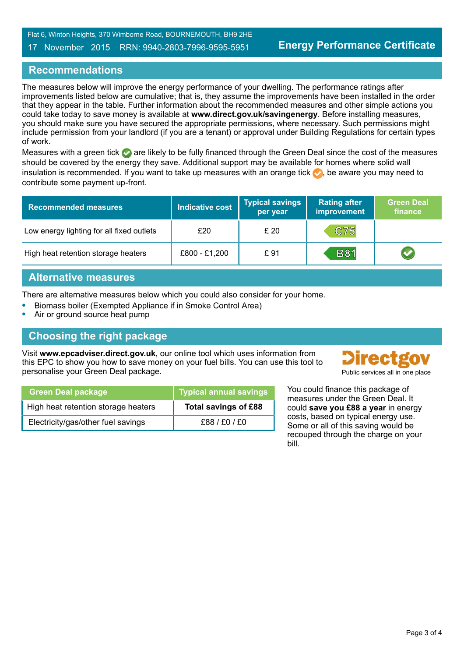#### 17 November 2015 RRN: 9940-2803-7996-9595-5951

# **Recommendations**

The measures below will improve the energy performance of your dwelling. The performance ratings after improvements listed below are cumulative; that is, they assume the improvements have been installed in the order that they appear in the table. Further information about the recommended measures and other simple actions you could take today to save money is available at **www.direct.gov.uk/savingenergy**. Before installing measures, you should make sure you have secured the appropriate permissions, where necessary. Such permissions might include permission from your landlord (if you are a tenant) or approval under Building Regulations for certain types of work.

Measures with a green tick are likely to be fully financed through the Green Deal since the cost of the measures should be covered by the energy they save. Additional support may be available for homes where solid wall insulation is recommended. If you want to take up measures with an orange tick  $\bullet$ , be aware you may need to contribute some payment up-front.

| <b>Recommended measures</b>               | <b>Indicative cost</b> | <b>Typical savings</b><br>per year | <b>Rating after</b><br><b>improvement</b> | <b>Green Deal</b><br>finance |
|-------------------------------------------|------------------------|------------------------------------|-------------------------------------------|------------------------------|
| Low energy lighting for all fixed outlets | £20                    | £20                                | C75                                       |                              |
| High heat retention storage heaters       | £800 - £1,200          | £91                                | <b>B81</b>                                |                              |

## **Alternative measures**

There are alternative measures below which you could also consider for your home.

- **•** Biomass boiler (Exempted Appliance if in Smoke Control Area)
- **•** Air or ground source heat pump

# **Choosing the right package**

Visit **www.epcadviser.direct.gov.uk**, our online tool which uses information from this EPC to show you how to save money on your fuel bills. You can use this tool to personalise your Green Deal package.



| <b>Green Deal package</b>           | <b>Typical annual savings</b> |
|-------------------------------------|-------------------------------|
| High heat retention storage heaters | Total savings of £88          |
| Electricity/gas/other fuel savings  | £88/£0/£0                     |

You could finance this package of measures under the Green Deal. It could **save you £88 a year** in energy costs, based on typical energy use. Some or all of this saving would be recouped through the charge on your bill.